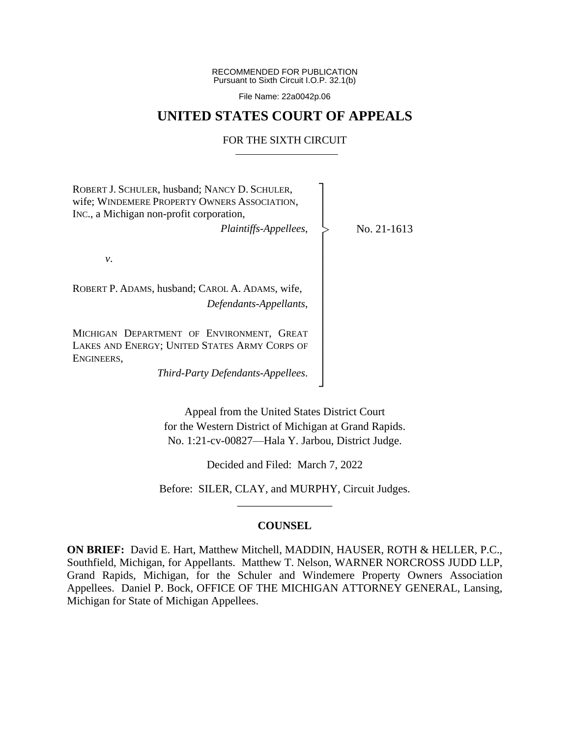RECOMMENDED FOR PUBLICATION Pursuant to Sixth Circuit I.O.P. 32.1(b)

File Name: 22a0042p.06

## **UNITED STATES COURT OF APPEALS**

## FOR THE SIXTH CIRCUIT

| ROBERT J. SCHULER, husband; NANCY D. SCHULER,<br>wife; WINDEMERE PROPERTY OWNERS ASSOCIATION,<br>INC., a Michigan non-profit corporation, |             |
|-------------------------------------------------------------------------------------------------------------------------------------------|-------------|
| Plaintiffs-Appellees,                                                                                                                     | No. 21-1613 |
| ν.                                                                                                                                        |             |
| ROBERT P. ADAMS, husband; CAROL A. ADAMS, wife,<br>Defendants-Appellants,                                                                 |             |
| MICHIGAN DEPARTMENT OF ENVIRONMENT, GREAT<br>LAKES AND ENERGY; UNITED STATES ARMY CORPS OF<br>ENGINEERS,                                  |             |
| Third-Party Defendants-Appellees.                                                                                                         |             |

Appeal from the United States District Court for the Western District of Michigan at Grand Rapids. No. 1:21-cv-00827—Hala Y. Jarbou, District Judge.

Decided and Filed: March 7, 2022

Before: SILER, CLAY, and MURPHY, Circuit Judges. \_\_\_\_\_\_\_\_\_\_\_\_\_\_\_\_\_

## **COUNSEL**

**ON BRIEF:** David E. Hart, Matthew Mitchell, MADDIN, HAUSER, ROTH & HELLER, P.C., Southfield, Michigan, for Appellants. Matthew T. Nelson, WARNER NORCROSS JUDD LLP, Grand Rapids, Michigan, for the Schuler and Windemere Property Owners Association Appellees. Daniel P. Bock, OFFICE OF THE MICHIGAN ATTORNEY GENERAL, Lansing, Michigan for State of Michigan Appellees.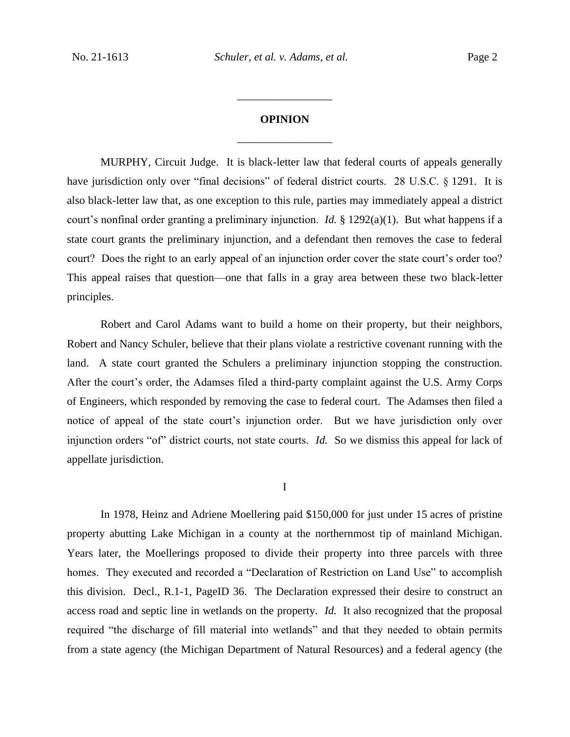## **OPINION** \_\_\_\_\_\_\_\_\_\_\_\_\_\_\_\_\_

\_\_\_\_\_\_\_\_\_\_\_\_\_\_\_\_\_

MURPHY, Circuit Judge. It is black-letter law that federal courts of appeals generally have jurisdiction only over "final decisions" of federal district courts. 28 U.S.C. § 1291. It is also black-letter law that, as one exception to this rule, parties may immediately appeal a district court's nonfinal order granting a preliminary injunction. *Id.* § 1292(a)(1). But what happens if a state court grants the preliminary injunction, and a defendant then removes the case to federal court? Does the right to an early appeal of an injunction order cover the state court's order too? This appeal raises that question—one that falls in a gray area between these two black-letter principles.

Robert and Carol Adams want to build a home on their property, but their neighbors, Robert and Nancy Schuler, believe that their plans violate a restrictive covenant running with the land. A state court granted the Schulers a preliminary injunction stopping the construction. After the court's order, the Adamses filed a third-party complaint against the U.S. Army Corps of Engineers, which responded by removing the case to federal court. The Adamses then filed a notice of appeal of the state court's injunction order. But we have jurisdiction only over injunction orders "of" district courts, not state courts. *Id.* So we dismiss this appeal for lack of appellate jurisdiction.

I

In 1978, Heinz and Adriene Moellering paid \$150,000 for just under 15 acres of pristine property abutting Lake Michigan in a county at the northernmost tip of mainland Michigan. Years later, the Moellerings proposed to divide their property into three parcels with three homes. They executed and recorded a "Declaration of Restriction on Land Use" to accomplish this division. Decl., R.1-1, PageID 36. The Declaration expressed their desire to construct an access road and septic line in wetlands on the property. *Id.* It also recognized that the proposal required "the discharge of fill material into wetlands" and that they needed to obtain permits from a state agency (the Michigan Department of Natural Resources) and a federal agency (the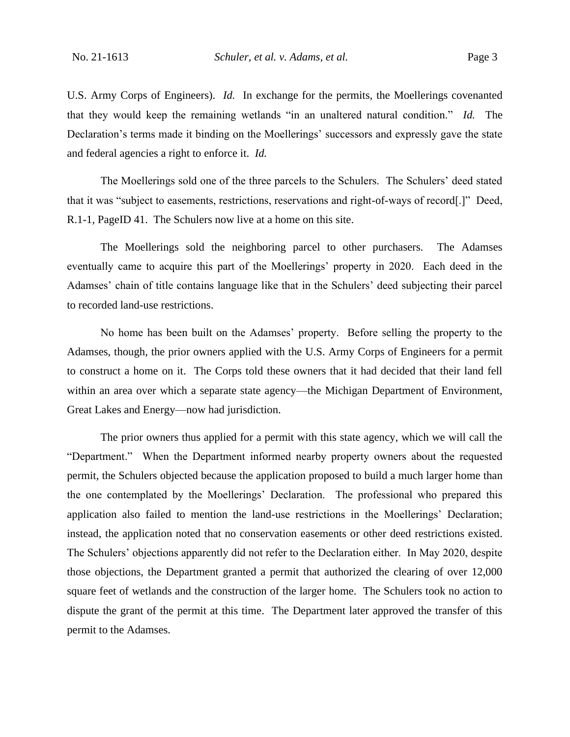U.S. Army Corps of Engineers). *Id.* In exchange for the permits, the Moellerings covenanted that they would keep the remaining wetlands "in an unaltered natural condition." *Id.* The Declaration's terms made it binding on the Moellerings' successors and expressly gave the state and federal agencies a right to enforce it. *Id.*

The Moellerings sold one of the three parcels to the Schulers. The Schulers' deed stated that it was "subject to easements, restrictions, reservations and right-of-ways of record[.]" Deed, R.1-1, PageID 41. The Schulers now live at a home on this site.

The Moellerings sold the neighboring parcel to other purchasers. The Adamses eventually came to acquire this part of the Moellerings' property in 2020. Each deed in the Adamses' chain of title contains language like that in the Schulers' deed subjecting their parcel to recorded land-use restrictions.

No home has been built on the Adamses' property. Before selling the property to the Adamses, though, the prior owners applied with the U.S. Army Corps of Engineers for a permit to construct a home on it. The Corps told these owners that it had decided that their land fell within an area over which a separate state agency—the Michigan Department of Environment, Great Lakes and Energy—now had jurisdiction.

The prior owners thus applied for a permit with this state agency, which we will call the "Department." When the Department informed nearby property owners about the requested permit, the Schulers objected because the application proposed to build a much larger home than the one contemplated by the Moellerings' Declaration. The professional who prepared this application also failed to mention the land-use restrictions in the Moellerings' Declaration; instead, the application noted that no conservation easements or other deed restrictions existed. The Schulers' objections apparently did not refer to the Declaration either. In May 2020, despite those objections, the Department granted a permit that authorized the clearing of over 12,000 square feet of wetlands and the construction of the larger home. The Schulers took no action to dispute the grant of the permit at this time. The Department later approved the transfer of this permit to the Adamses.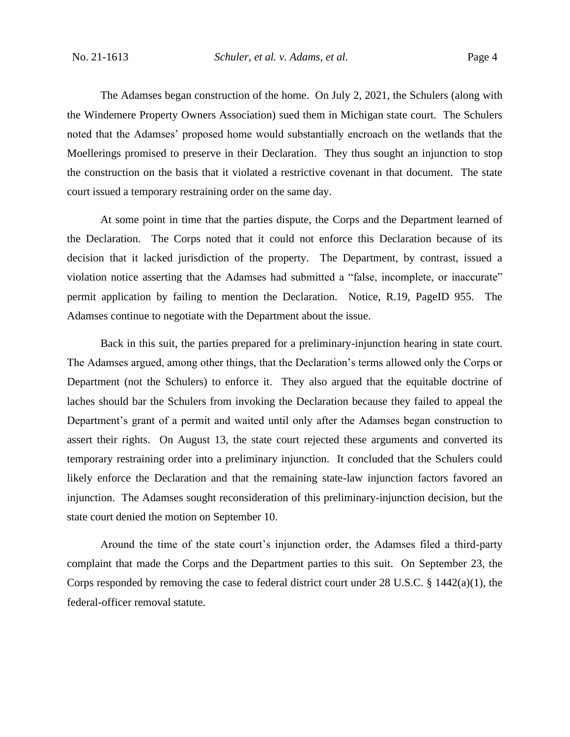The Adamses began construction of the home. On July 2, 2021, the Schulers (along with the Windemere Property Owners Association) sued them in Michigan state court. The Schulers noted that the Adamses' proposed home would substantially encroach on the wetlands that the Moellerings promised to preserve in their Declaration. They thus sought an injunction to stop the construction on the basis that it violated a restrictive covenant in that document. The state court issued a temporary restraining order on the same day.

At some point in time that the parties dispute, the Corps and the Department learned of the Declaration. The Corps noted that it could not enforce this Declaration because of its decision that it lacked jurisdiction of the property. The Department, by contrast, issued a violation notice asserting that the Adamses had submitted a "false, incomplete, or inaccurate" permit application by failing to mention the Declaration. Notice, R.19, PageID 955. The Adamses continue to negotiate with the Department about the issue.

Back in this suit, the parties prepared for a preliminary-injunction hearing in state court. The Adamses argued, among other things, that the Declaration's terms allowed only the Corps or Department (not the Schulers) to enforce it. They also argued that the equitable doctrine of laches should bar the Schulers from invoking the Declaration because they failed to appeal the Department's grant of a permit and waited until only after the Adamses began construction to assert their rights. On August 13, the state court rejected these arguments and converted its temporary restraining order into a preliminary injunction. It concluded that the Schulers could likely enforce the Declaration and that the remaining state-law injunction factors favored an injunction. The Adamses sought reconsideration of this preliminary-injunction decision, but the state court denied the motion on September 10.

Around the time of the state court's injunction order, the Adamses filed a third-party complaint that made the Corps and the Department parties to this suit. On September 23, the Corps responded by removing the case to federal district court under 28 U.S.C. § 1442(a)(1), the federal-officer removal statute.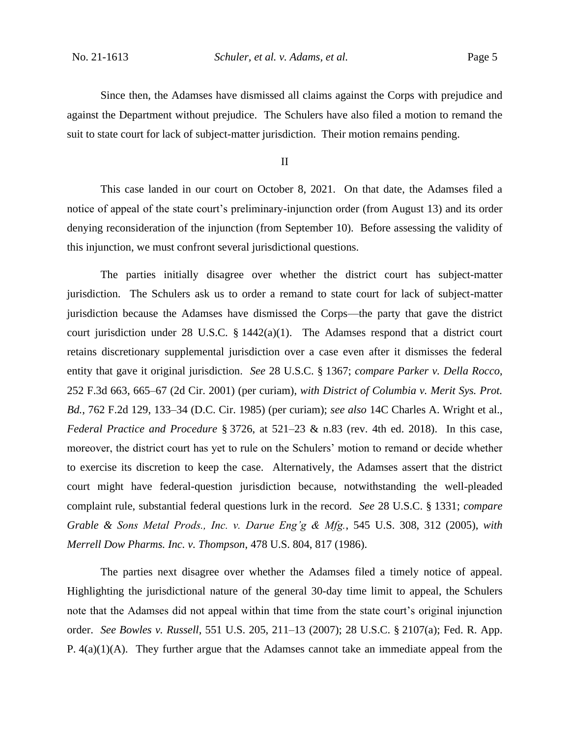Since then, the Adamses have dismissed all claims against the Corps with prejudice and against the Department without prejudice. The Schulers have also filed a motion to remand the suit to state court for lack of subject-matter jurisdiction. Their motion remains pending.

II

This case landed in our court on October 8, 2021. On that date, the Adamses filed a notice of appeal of the state court's preliminary-injunction order (from August 13) and its order denying reconsideration of the injunction (from September 10). Before assessing the validity of this injunction, we must confront several jurisdictional questions.

The parties initially disagree over whether the district court has subject-matter jurisdiction. The Schulers ask us to order a remand to state court for lack of subject-matter jurisdiction because the Adamses have dismissed the Corps—the party that gave the district court jurisdiction under 28 U.S.C. § 1442(a)(1). The Adamses respond that a district court retains discretionary supplemental jurisdiction over a case even after it dismisses the federal entity that gave it original jurisdiction. *See* 28 U.S.C. § 1367; *compare Parker v. Della Rocco*, 252 F.3d 663, 665–67 (2d Cir. 2001) (per curiam), *with District of Columbia v. Merit Sys. Prot. Bd.*, 762 F.2d 129, 133–34 (D.C. Cir. 1985) (per curiam); *see also* 14C Charles A. Wright et al., *Federal Practice and Procedure* § 3726, at 521–23 & n.83 (rev. 4th ed. 2018). In this case, moreover, the district court has yet to rule on the Schulers' motion to remand or decide whether to exercise its discretion to keep the case. Alternatively, the Adamses assert that the district court might have federal-question jurisdiction because, notwithstanding the well-pleaded complaint rule, substantial federal questions lurk in the record. *See* 28 U.S.C. § 1331; *compare Grable & Sons Metal Prods., Inc. v. Darue Eng'g & Mfg.*, 545 U.S. 308, 312 (2005), *with Merrell Dow Pharms. Inc. v. Thompson*, 478 U.S. 804, 817 (1986).

The parties next disagree over whether the Adamses filed a timely notice of appeal. Highlighting the jurisdictional nature of the general 30-day time limit to appeal, the Schulers note that the Adamses did not appeal within that time from the state court's original injunction order. *See Bowles v. Russell*, 551 U.S. 205, 211–13 (2007); 28 U.S.C. § 2107(a); Fed. R. App. P. 4(a)(1)(A). They further argue that the Adamses cannot take an immediate appeal from the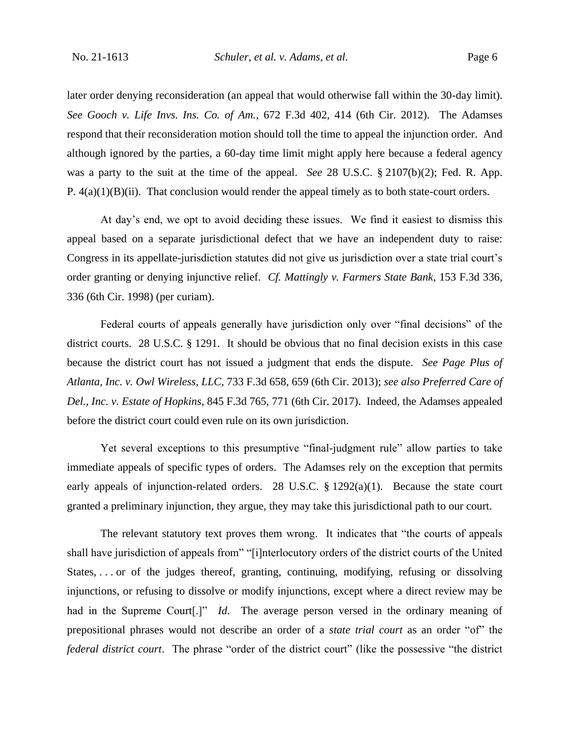later order denying reconsideration (an appeal that would otherwise fall within the 30-day limit). *See Gooch v. Life Invs. Ins. Co. of Am.*, 672 F.3d 402, 414 (6th Cir. 2012). The Adamses respond that their reconsideration motion should toll the time to appeal the injunction order. And although ignored by the parties, a 60-day time limit might apply here because a federal agency was a party to the suit at the time of the appeal. *See* 28 U.S.C. § 2107(b)(2); Fed. R. App. P. 4(a)(1)(B)(ii). That conclusion would render the appeal timely as to both state-court orders.

At day's end, we opt to avoid deciding these issues. We find it easiest to dismiss this appeal based on a separate jurisdictional defect that we have an independent duty to raise: Congress in its appellate-jurisdiction statutes did not give us jurisdiction over a state trial court's order granting or denying injunctive relief. *Cf. Mattingly v. Farmers State Bank*, 153 F.3d 336, 336 (6th Cir. 1998) (per curiam).

Federal courts of appeals generally have jurisdiction only over "final decisions" of the district courts. 28 U.S.C. § 1291. It should be obvious that no final decision exists in this case because the district court has not issued a judgment that ends the dispute. *See Page Plus of Atlanta, Inc. v. Owl Wireless, LLC*, 733 F.3d 658, 659 (6th Cir. 2013); *see also Preferred Care of Del., Inc. v. Estate of Hopkins*, 845 F.3d 765, 771 (6th Cir. 2017). Indeed, the Adamses appealed before the district court could even rule on its own jurisdiction.

Yet several exceptions to this presumptive "final-judgment rule" allow parties to take immediate appeals of specific types of orders. The Adamses rely on the exception that permits early appeals of injunction-related orders. 28 U.S.C. § 1292(a)(1). Because the state court granted a preliminary injunction, they argue, they may take this jurisdictional path to our court.

The relevant statutory text proves them wrong. It indicates that "the courts of appeals shall have jurisdiction of appeals from" "[i]nterlocutory orders of the district courts of the United States, . . . or of the judges thereof, granting, continuing, modifying, refusing or dissolving injunctions, or refusing to dissolve or modify injunctions, except where a direct review may be had in the Supreme Court<sup>[1]</sup> *Id.* The average person versed in the ordinary meaning of prepositional phrases would not describe an order of a *state trial court* as an order "of" the *federal district court*. The phrase "order of the district court" (like the possessive "the district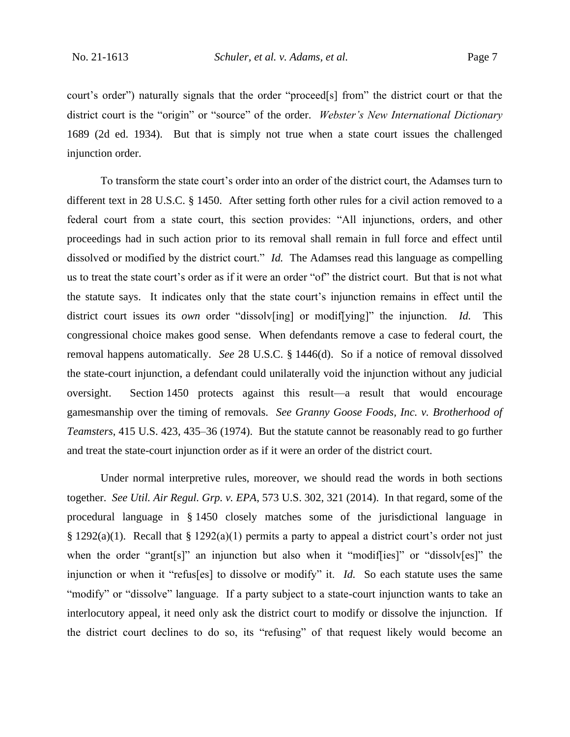court's order") naturally signals that the order "proceed[s] from" the district court or that the district court is the "origin" or "source" of the order. *Webster's New International Dictionary* 1689 (2d ed. 1934). But that is simply not true when a state court issues the challenged injunction order.

To transform the state court's order into an order of the district court, the Adamses turn to different text in 28 U.S.C. § 1450. After setting forth other rules for a civil action removed to a federal court from a state court, this section provides: "All injunctions, orders, and other proceedings had in such action prior to its removal shall remain in full force and effect until dissolved or modified by the district court." *Id.* The Adamses read this language as compelling us to treat the state court's order as if it were an order "of" the district court. But that is not what the statute says. It indicates only that the state court's injunction remains in effect until the district court issues its *own* order "dissolv[ing] or modif[ying]" the injunction. *Id.* This congressional choice makes good sense. When defendants remove a case to federal court, the removal happens automatically. *See* 28 U.S.C. § 1446(d). So if a notice of removal dissolved the state-court injunction, a defendant could unilaterally void the injunction without any judicial oversight. Section 1450 protects against this result—a result that would encourage gamesmanship over the timing of removals. *See Granny Goose Foods, Inc. v. Brotherhood of Teamsters*, 415 U.S. 423, 435–36 (1974). But the statute cannot be reasonably read to go further and treat the state-court injunction order as if it were an order of the district court.

Under normal interpretive rules, moreover, we should read the words in both sections together. *See Util. Air Regul. Grp. v. EPA*, 573 U.S. 302, 321 (2014). In that regard, some of the procedural language in § 1450 closely matches some of the jurisdictional language in § 1292(a)(1). Recall that § 1292(a)(1) permits a party to appeal a district court's order not just when the order "grant[s]" an injunction but also when it "modif[ies]" or "dissolv[es]" the injunction or when it "refus[es] to dissolve or modify" it. *Id.* So each statute uses the same "modify" or "dissolve" language. If a party subject to a state-court injunction wants to take an interlocutory appeal, it need only ask the district court to modify or dissolve the injunction. If the district court declines to do so, its "refusing" of that request likely would become an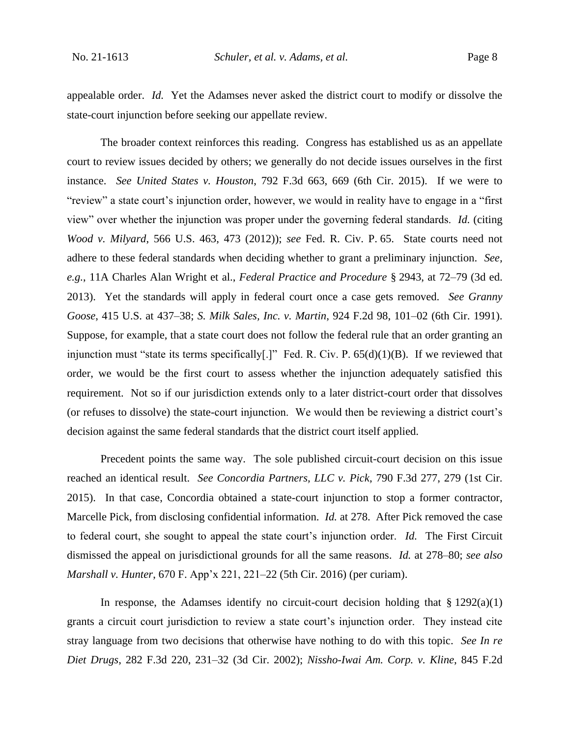appealable order. *Id.* Yet the Adamses never asked the district court to modify or dissolve the state-court injunction before seeking our appellate review.

The broader context reinforces this reading. Congress has established us as an appellate court to review issues decided by others; we generally do not decide issues ourselves in the first instance. *See United States v. Houston*, 792 F.3d 663, 669 (6th Cir. 2015). If we were to "review" a state court's injunction order, however, we would in reality have to engage in a "first view" over whether the injunction was proper under the governing federal standards. *Id.* (citing *Wood v. Milyard*, 566 U.S. 463, 473 (2012)); *see* Fed. R. Civ. P. 65. State courts need not adhere to these federal standards when deciding whether to grant a preliminary injunction. *See, e.g.*, 11A Charles Alan Wright et al., *Federal Practice and Procedure* § 2943, at 72–79 (3d ed. 2013). Yet the standards will apply in federal court once a case gets removed. *See Granny Goose*, 415 U.S. at 437–38; *S. Milk Sales, Inc. v. Martin*, 924 F.2d 98, 101–02 (6th Cir. 1991). Suppose, for example, that a state court does not follow the federal rule that an order granting an injunction must "state its terms specifically[.]" Fed. R. Civ. P. 65(d)(1)(B). If we reviewed that order, we would be the first court to assess whether the injunction adequately satisfied this requirement. Not so if our jurisdiction extends only to a later district-court order that dissolves (or refuses to dissolve) the state-court injunction. We would then be reviewing a district court's decision against the same federal standards that the district court itself applied.

Precedent points the same way. The sole published circuit-court decision on this issue reached an identical result. *See Concordia Partners, LLC v. Pick*, 790 F.3d 277, 279 (1st Cir. 2015). In that case, Concordia obtained a state-court injunction to stop a former contractor, Marcelle Pick, from disclosing confidential information. *Id.* at 278. After Pick removed the case to federal court, she sought to appeal the state court's injunction order. *Id.* The First Circuit dismissed the appeal on jurisdictional grounds for all the same reasons. *Id.* at 278–80; *see also Marshall v. Hunter*, 670 F. App'x 221, 221–22 (5th Cir. 2016) (per curiam).

In response, the Adamses identify no circuit-court decision holding that  $\S 1292(a)(1)$ grants a circuit court jurisdiction to review a state court's injunction order. They instead cite stray language from two decisions that otherwise have nothing to do with this topic. *See In re Diet Drugs*, 282 F.3d 220, 231–32 (3d Cir. 2002); *Nissho-Iwai Am. Corp. v. Kline*, 845 F.2d